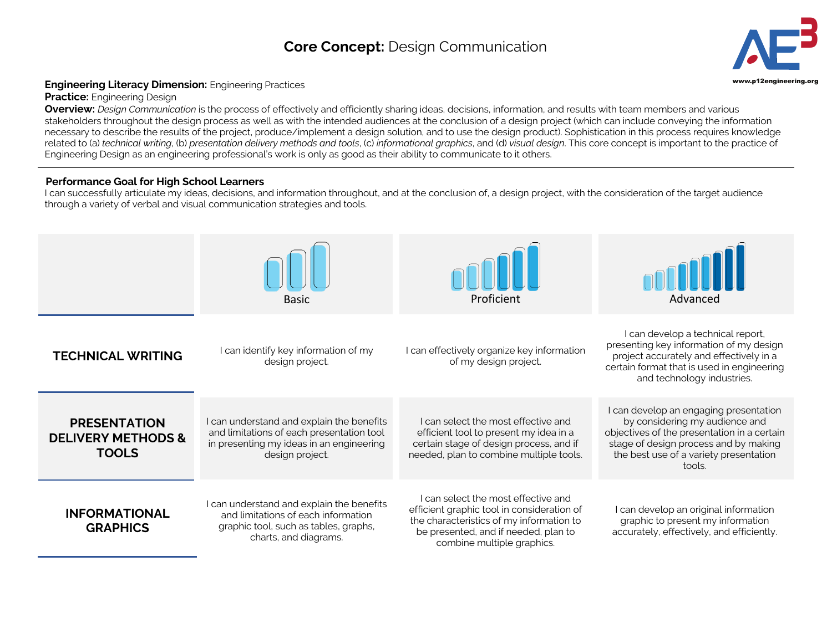## **Core Concept:** Design Communication **3**



## **Engineering Literacy Dimension:** Engineering Practices **Engineering.org and Construction:** Engineering Practices

**Practice:** Engineering Design

**Overview:** *Design Communication* is the process of effectively and efficiently sharing ideas, decisions, information, and results with team members and various stakeholders throughout the design process as well as with the intended audiences at the conclusion of a design project (which can include conveying the information necessary to describe the results of the project, produce/implement a design solution, and to use the design product). Sophistication in this process requires knowledge related to (a) *technical writing*, (b) *presentation delivery methods and tools*, (c) *informational graphics*, and (d) *visual design*. This core concept is important to the practice of Engineering Design as an engineering professional's work is only as good as their ability to communicate to it others.

## **Performance Goal for High School Learners**

I can successfully articulate my ideas, decisions, and information throughout, and at the conclusion of, a design project, with the consideration of the target audience through a variety of verbal and visual communication strategies and tools.

|                                                                      | Basic                                                                                                                                                 | Proficient                                                                                                                                                                                          | Advanced                                                                                                                                                                                                             |
|----------------------------------------------------------------------|-------------------------------------------------------------------------------------------------------------------------------------------------------|-----------------------------------------------------------------------------------------------------------------------------------------------------------------------------------------------------|----------------------------------------------------------------------------------------------------------------------------------------------------------------------------------------------------------------------|
| <b>TECHNICAL WRITING</b>                                             | I can identify key information of my<br>design project.                                                                                               | I can effectively organize key information<br>of my design project.                                                                                                                                 | I can develop a technical report,<br>presenting key information of my design<br>project accurately and effectively in a<br>certain format that is used in engineering<br>and technology industries.                  |
| <b>PRESENTATION</b><br><b>DELIVERY METHODS &amp;</b><br><b>TOOLS</b> | I can understand and explain the benefits<br>and limitations of each presentation tool<br>in presenting my ideas in an engineering<br>design project. | I can select the most effective and<br>efficient tool to present my idea in a<br>certain stage of design process, and if<br>needed, plan to combine multiple tools.                                 | I can develop an engaging presentation<br>by considering my audience and<br>objectives of the presentation in a certain<br>stage of design process and by making<br>the best use of a variety presentation<br>tools. |
| <b>INFORMATIONAL</b><br><b>GRAPHICS</b>                              | I can understand and explain the benefits<br>and limitations of each information<br>graphic tool, such as tables, graphs,<br>charts, and diagrams.    | I can select the most effective and<br>efficient graphic tool in consideration of<br>the characteristics of my information to<br>be presented, and if needed, plan to<br>combine multiple graphics. | can develop an original information<br>graphic to present my information<br>accurately, effectively, and efficiently.                                                                                                |